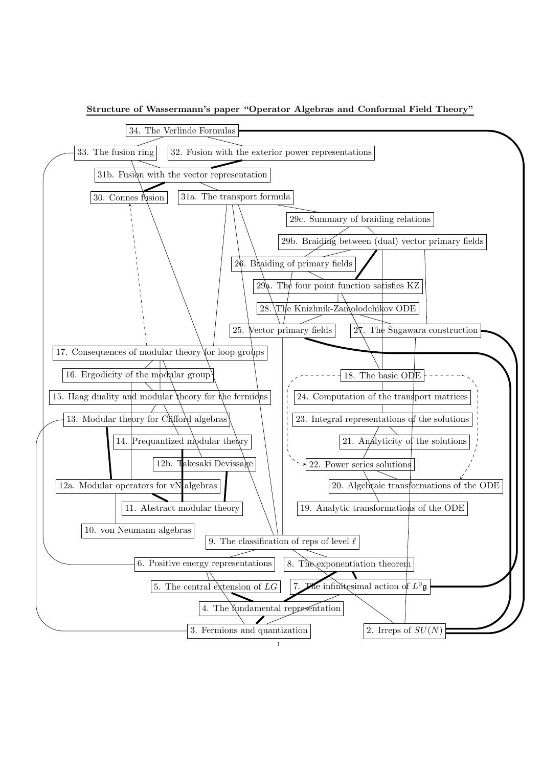

Structure of Wassermann's paper "Operator Algebras and Conformal Field Theory"